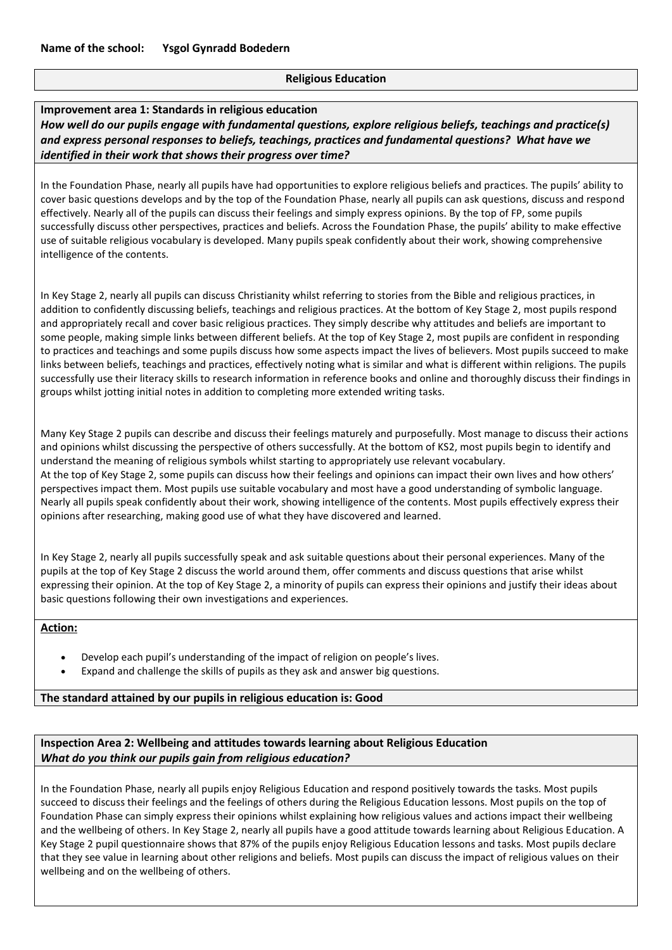# **Religious Education**

### **Improvement area 1: Standards in religious education** *How well do our pupils engage with fundamental questions, explore religious beliefs, teachings and practice(s) and express personal responses to beliefs, teachings, practices and fundamental questions? What have we identified in their work that shows their progress over time?*

In the Foundation Phase, nearly all pupils have had opportunities to explore religious beliefs and practices. The pupils' ability to cover basic questions develops and by the top of the Foundation Phase, nearly all pupils can ask questions, discuss and respond effectively. Nearly all of the pupils can discuss their feelings and simply express opinions. By the top of FP, some pupils successfully discuss other perspectives, practices and beliefs. Across the Foundation Phase, the pupils' ability to make effective use of suitable religious vocabulary is developed. Many pupils speak confidently about their work, showing comprehensive intelligence of the contents.

In Key Stage 2, nearly all pupils can discuss Christianity whilst referring to stories from the Bible and religious practices, in addition to confidently discussing beliefs, teachings and religious practices. At the bottom of Key Stage 2, most pupils respond and appropriately recall and cover basic religious practices. They simply describe why attitudes and beliefs are important to some people, making simple links between different beliefs. At the top of Key Stage 2, most pupils are confident in responding to practices and teachings and some pupils discuss how some aspects impact the lives of believers. Most pupils succeed to make links between beliefs, teachings and practices, effectively noting what is similar and what is different within religions. The pupils successfully use their literacy skills to research information in reference books and online and thoroughly discuss their findings in groups whilst jotting initial notes in addition to completing more extended writing tasks.

Many Key Stage 2 pupils can describe and discuss their feelings maturely and purposefully. Most manage to discuss their actions and opinions whilst discussing the perspective of others successfully. At the bottom of KS2, most pupils begin to identify and understand the meaning of religious symbols whilst starting to appropriately use relevant vocabulary. At the top of Key Stage 2, some pupils can discuss how their feelings and opinions can impact their own lives and how others' perspectives impact them. Most pupils use suitable vocabulary and most have a good understanding of symbolic language. Nearly all pupils speak confidently about their work, showing intelligence of the contents. Most pupils effectively express their opinions after researching, making good use of what they have discovered and learned.

In Key Stage 2, nearly all pupils successfully speak and ask suitable questions about their personal experiences. Many of the pupils at the top of Key Stage 2 discuss the world around them, offer comments and discuss questions that arise whilst expressing their opinion. At the top of Key Stage 2, a minority of pupils can express their opinions and justify their ideas about basic questions following their own investigations and experiences.

#### **Action:**

- Develop each pupil's understanding of the impact of religion on people's lives.
- Expand and challenge the skills of pupils as they ask and answer big questions.

#### **The standard attained by our pupils in religious education is: Good**

# **Inspection Area 2: Wellbeing and attitudes towards learning about Religious Education** *What do you think our pupils gain from religious education?*

In the Foundation Phase, nearly all pupils enjoy Religious Education and respond positively towards the tasks. Most pupils succeed to discuss their feelings and the feelings of others during the Religious Education lessons. Most pupils on the top of Foundation Phase can simply express their opinions whilst explaining how religious values and actions impact their wellbeing and the wellbeing of others. In Key Stage 2, nearly all pupils have a good attitude towards learning about Religious Education. A Key Stage 2 pupil questionnaire shows that 87% of the pupils enjoy Religious Education lessons and tasks. Most pupils declare that they see value in learning about other religions and beliefs. Most pupils can discuss the impact of religious values on their wellbeing and on the wellbeing of others.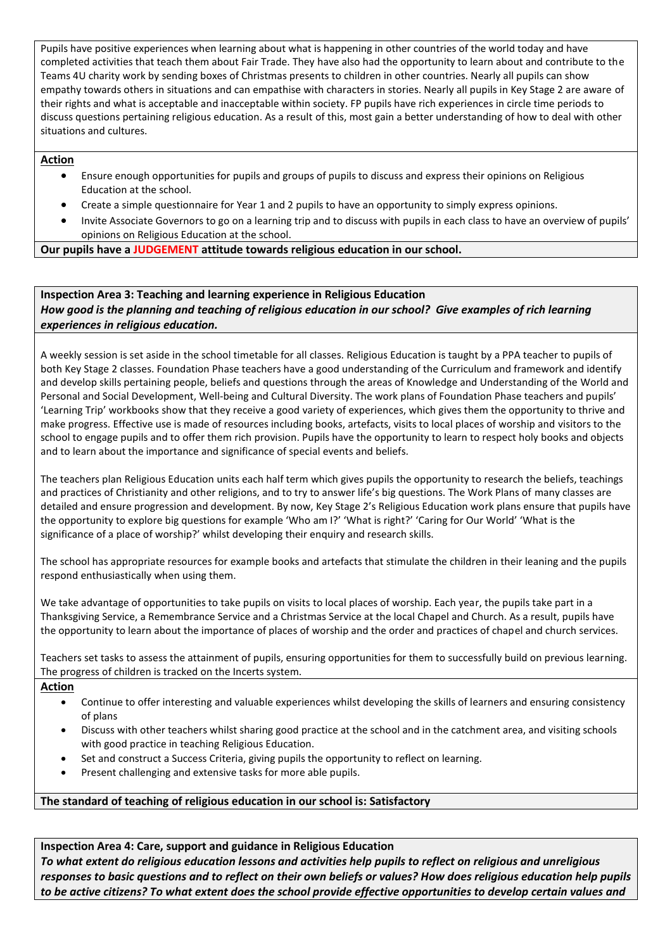Pupils have positive experiences when learning about what is happening in other countries of the world today and have completed activities that teach them about Fair Trade. They have also had the opportunity to learn about and contribute to the Teams 4U charity work by sending boxes of Christmas presents to children in other countries. Nearly all pupils can show empathy towards others in situations and can empathise with characters in stories. Nearly all pupils in Key Stage 2 are aware of their rights and what is acceptable and inacceptable within society. FP pupils have rich experiences in circle time periods to discuss questions pertaining religious education. As a result of this, most gain a better understanding of how to deal with other situations and cultures.

## **Action**

- Ensure enough opportunities for pupils and groups of pupils to discuss and express their opinions on Religious Education at the school.
- Create a simple questionnaire for Year 1 and 2 pupils to have an opportunity to simply express opinions.
- Invite Associate Governors to go on a learning trip and to discuss with pupils in each class to have an overview of pupils' opinions on Religious Education at the school.

#### **Our pupils have a JUDGEMENT attitude towards religious education in our school.**

# **Inspection Area 3: Teaching and learning experience in Religious Education** *How good is the planning and teaching of religious education in our school? Give examples of rich learning experiences in religious education.*

A weekly session is set aside in the school timetable for all classes. Religious Education is taught by a PPA teacher to pupils of both Key Stage 2 classes. Foundation Phase teachers have a good understanding of the Curriculum and framework and identify and develop skills pertaining people, beliefs and questions through the areas of Knowledge and Understanding of the World and Personal and Social Development, Well-being and Cultural Diversity. The work plans of Foundation Phase teachers and pupils' 'Learning Trip' workbooks show that they receive a good variety of experiences, which gives them the opportunity to thrive and make progress. Effective use is made of resources including books, artefacts, visits to local places of worship and visitors to the school to engage pupils and to offer them rich provision. Pupils have the opportunity to learn to respect holy books and objects and to learn about the importance and significance of special events and beliefs.

The teachers plan Religious Education units each half term which gives pupils the opportunity to research the beliefs, teachings and practices of Christianity and other religions, and to try to answer life's big questions. The Work Plans of many classes are detailed and ensure progression and development. By now, Key Stage 2's Religious Education work plans ensure that pupils have the opportunity to explore big questions for example 'Who am I?' 'What is right?' 'Caring for Our World' 'What is the significance of a place of worship?' whilst developing their enquiry and research skills.

The school has appropriate resources for example books and artefacts that stimulate the children in their leaning and the pupils respond enthusiastically when using them.

We take advantage of opportunities to take pupils on visits to local places of worship. Each year, the pupils take part in a Thanksgiving Service, a Remembrance Service and a Christmas Service at the local Chapel and Church. As a result, pupils have the opportunity to learn about the importance of places of worship and the order and practices of chapel and church services.

Teachers set tasks to assess the attainment of pupils, ensuring opportunities for them to successfully build on previous learning. The progress of children is tracked on the Incerts system.

#### **Action**

- Continue to offer interesting and valuable experiences whilst developing the skills of learners and ensuring consistency of plans
- Discuss with other teachers whilst sharing good practice at the school and in the catchment area, and visiting schools with good practice in teaching Religious Education.
- Set and construct a Success Criteria, giving pupils the opportunity to reflect on learning.
- Present challenging and extensive tasks for more able pupils.

#### **The standard of teaching of religious education in our school is: Satisfactory**

#### **Inspection Area 4: Care, support and guidance in Religious Education**

*To what extent do religious education lessons and activities help pupils to reflect on religious and unreligious responses to basic questions and to reflect on their own beliefs or values? How does religious education help pupils to be active citizens? To what extent does the school provide effective opportunities to develop certain values and*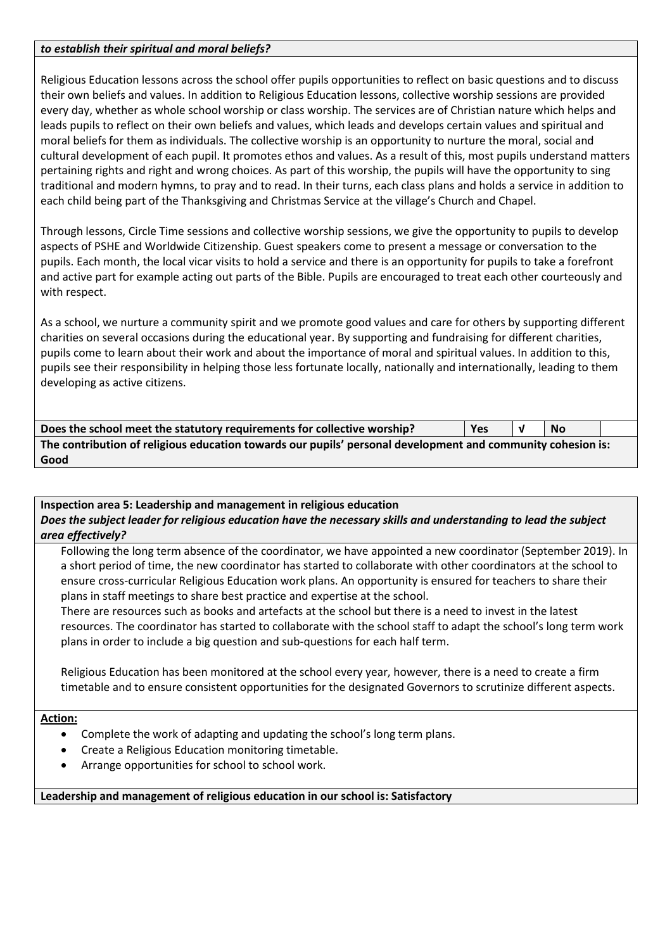# *to establish their spiritual and moral beliefs?*

Religious Education lessons across the school offer pupils opportunities to reflect on basic questions and to discuss their own beliefs and values. In addition to Religious Education lessons, collective worship sessions are provided every day, whether as whole school worship or class worship. The services are of Christian nature which helps and leads pupils to reflect on their own beliefs and values, which leads and develops certain values and spiritual and moral beliefs for them as individuals. The collective worship is an opportunity to nurture the moral, social and cultural development of each pupil. It promotes ethos and values. As a result of this, most pupils understand matters pertaining rights and right and wrong choices. As part of this worship, the pupils will have the opportunity to sing traditional and modern hymns, to pray and to read. In their turns, each class plans and holds a service in addition to each child being part of the Thanksgiving and Christmas Service at the village's Church and Chapel.

Through lessons, Circle Time sessions and collective worship sessions, we give the opportunity to pupils to develop aspects of PSHE and Worldwide Citizenship. Guest speakers come to present a message or conversation to the pupils. Each month, the local vicar visits to hold a service and there is an opportunity for pupils to take a forefront and active part for example acting out parts of the Bible. Pupils are encouraged to treat each other courteously and with respect.

As a school, we nurture a community spirit and we promote good values and care for others by supporting different charities on several occasions during the educational year. By supporting and fundraising for different charities, pupils come to learn about their work and about the importance of moral and spiritual values. In addition to this, pupils see their responsibility in helping those less fortunate locally, nationally and internationally, leading to them developing as active citizens.

| Does the school meet the statutory requirements for collective worship?                                     | Yes |  | <b>No</b> |  |  |  |  |
|-------------------------------------------------------------------------------------------------------------|-----|--|-----------|--|--|--|--|
| The contribution of religious education towards our pupils' personal development and community cohesion is: |     |  |           |  |  |  |  |
| Good                                                                                                        |     |  |           |  |  |  |  |

# **Inspection area 5: Leadership and management in religious education** *Does the subject leader for religious education have the necessary skills and understanding to lead the subject area effectively?*

Following the long term absence of the coordinator, we have appointed a new coordinator (September 2019). In a short period of time, the new coordinator has started to collaborate with other coordinators at the school to ensure cross-curricular Religious Education work plans. An opportunity is ensured for teachers to share their plans in staff meetings to share best practice and expertise at the school.

There are resources such as books and artefacts at the school but there is a need to invest in the latest resources. The coordinator has started to collaborate with the school staff to adapt the school's long term work plans in order to include a big question and sub-questions for each half term.

Religious Education has been monitored at the school every year, however, there is a need to create a firm timetable and to ensure consistent opportunities for the designated Governors to scrutinize different aspects.

#### **Action:**

- Complete the work of adapting and updating the school's long term plans.
- Create a Religious Education monitoring timetable.
- Arrange opportunities for school to school work.

#### **Leadership and management of religious education in our school is: Satisfactory**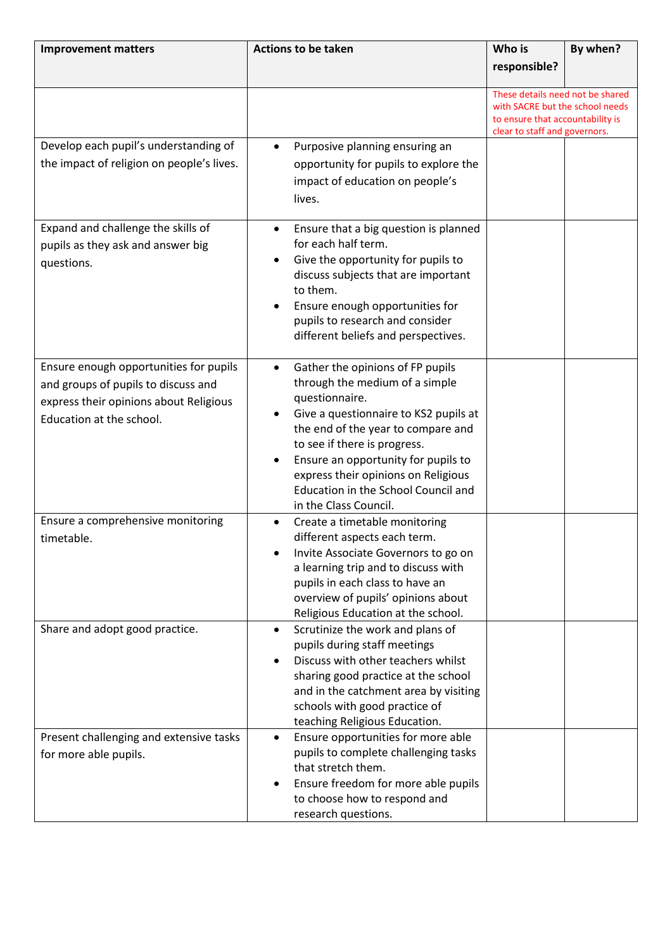| <b>Improvement matters</b>                                                                                                                          | <b>Actions to be taken</b>                                                                                                                                                                                                                                                                                                                                     | Who is                                                                                                                                   | By when? |
|-----------------------------------------------------------------------------------------------------------------------------------------------------|----------------------------------------------------------------------------------------------------------------------------------------------------------------------------------------------------------------------------------------------------------------------------------------------------------------------------------------------------------------|------------------------------------------------------------------------------------------------------------------------------------------|----------|
|                                                                                                                                                     |                                                                                                                                                                                                                                                                                                                                                                | responsible?                                                                                                                             |          |
|                                                                                                                                                     |                                                                                                                                                                                                                                                                                                                                                                | These details need not be shared<br>with SACRE but the school needs<br>to ensure that accountability is<br>clear to staff and governors. |          |
| Develop each pupil's understanding of<br>the impact of religion on people's lives.                                                                  | Purposive planning ensuring an<br>opportunity for pupils to explore the<br>impact of education on people's<br>lives.                                                                                                                                                                                                                                           |                                                                                                                                          |          |
| Expand and challenge the skills of<br>pupils as they ask and answer big<br>questions.                                                               | Ensure that a big question is planned<br>$\bullet$<br>for each half term.<br>Give the opportunity for pupils to<br>discuss subjects that are important<br>to them.<br>Ensure enough opportunities for<br>pupils to research and consider<br>different beliefs and perspectives.                                                                                |                                                                                                                                          |          |
| Ensure enough opportunities for pupils<br>and groups of pupils to discuss and<br>express their opinions about Religious<br>Education at the school. | Gather the opinions of FP pupils<br>$\bullet$<br>through the medium of a simple<br>questionnaire.<br>Give a questionnaire to KS2 pupils at<br>the end of the year to compare and<br>to see if there is progress.<br>Ensure an opportunity for pupils to<br>express their opinions on Religious<br>Education in the School Council and<br>in the Class Council. |                                                                                                                                          |          |
| Ensure a comprehensive monitoring<br>timetable.                                                                                                     | Create a timetable monitoring<br>different aspects each term.<br>Invite Associate Governors to go on<br>a learning trip and to discuss with<br>pupils in each class to have an<br>overview of pupils' opinions about<br>Religious Education at the school.                                                                                                     |                                                                                                                                          |          |
| Share and adopt good practice.                                                                                                                      | Scrutinize the work and plans of<br>pupils during staff meetings<br>Discuss with other teachers whilst<br>sharing good practice at the school<br>and in the catchment area by visiting<br>schools with good practice of<br>teaching Religious Education.                                                                                                       |                                                                                                                                          |          |
| Present challenging and extensive tasks<br>for more able pupils.                                                                                    | Ensure opportunities for more able<br>pupils to complete challenging tasks<br>that stretch them.<br>Ensure freedom for more able pupils<br>to choose how to respond and<br>research questions.                                                                                                                                                                 |                                                                                                                                          |          |